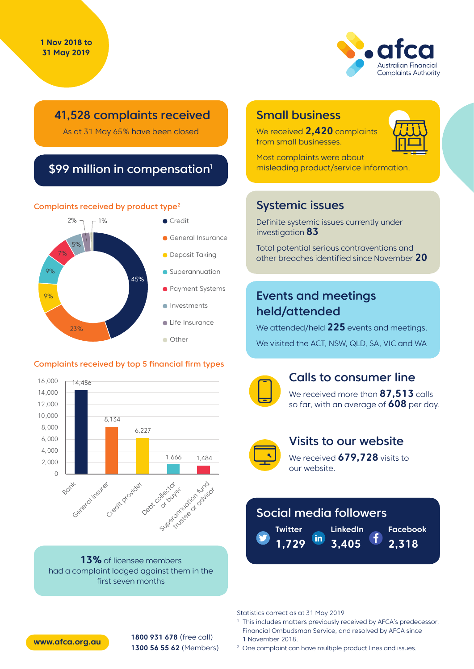

## 41,528 complaints received

As at 31 May 65% have been closed

## \$99 million in compensation<sup>1</sup>

#### Complaints received by product type<sup>2</sup>



#### Complaints received by top 5 financial firm types



**13%** of licensee members had a complaint lodged against them in the first seven months

## Small business

We received **2,420** complaints from small businesses.



Most complaints were about misleading product/service information.

## Systemic issues

Definite systemic issues currently under investigation **83**

Total potential serious contraventions and other breaches identified since November **20**

# Events and meetings held/attended

We attended/held **225** events and meetings. We visited the ACT, NSW, QLD, SA, VIC and WA



### Calls to consumer line

We received more than **87,513** calls so far, with an average of **608** per day.



### Visits to our website

We received **679,728** visits to our website.

# Social media followers

**LinkedIn Twitter** <u>in</u> **3,405 1,729**

**Facebook**

**2,318**

Statistics correct as at 31 May 2019

- <sup>1</sup> This includes matters previously received by AFCA's predecessor, Financial Ombudsman Service, and resolved by AFCA since 1 November 2018.
- <sup>2</sup> One complaint can have multiple product lines and issues.



**1800 931 678** (free call) **1300 56 55 62** (Members) **www.afca.org.au**